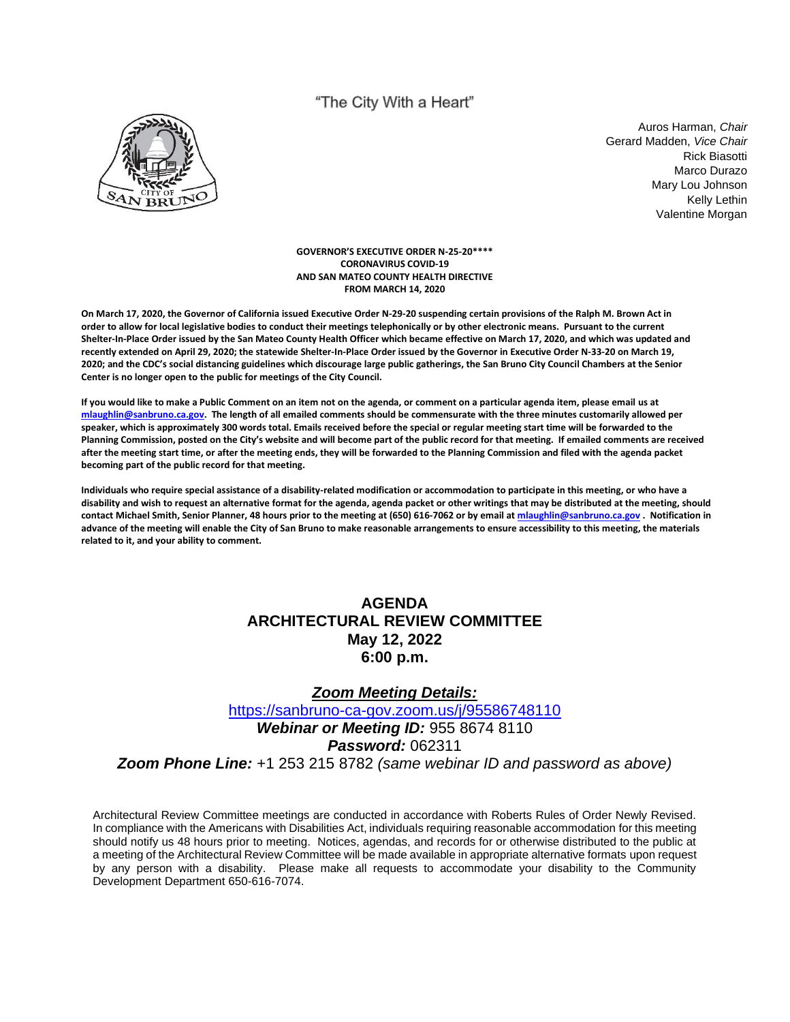## "The City With a Heart"



Auros Harman, *Chair* Gerard Madden, *Vice Chair* Rick Biasotti Marco Durazo Mary Lou Johnson Kelly Lethin Valentine Morgan

#### **GOVERNOR'S EXECUTIVE ORDER N-25-20\*\*\*\* CORONAVIRUS COVID-19 AND SAN MATEO COUNTY HEALTH DIRECTIVE FROM MARCH 14, 2020**

**On March 17, 2020, the Governor of California issued Executive Order N-29-20 suspending certain provisions of the Ralph M. Brown Act in order to allow for local legislative bodies to conduct their meetings telephonically or by other electronic means. Pursuant to the current Shelter-In-Place Order issued by the San Mateo County Health Officer which became effective on March 17, 2020, and which was updated and recently extended on April 29, 2020; the statewide Shelter-In-Place Order issued by the Governor in Executive Order N-33-20 on March 19, 2020; and the CDC's social distancing guidelines which discourage large public gatherings, the San Bruno City Council Chambers at the Senior Center is no longer open to the public for meetings of the City Council.** 

**If you would like to make a Public Comment on an item not on the agenda, or comment on a particular agenda item, please email us at mlaughlin@sanbruno.ca.gov. The length of all emailed comments should be commensurate with the three minutes customarily allowed per speaker, which is approximately 300 words total. Emails received before the special or regular meeting start time will be forwarded to the Planning Commission, posted on the City's website and will become part of the public record for that meeting. If emailed comments are received after the meeting start time, or after the meeting ends, they will be forwarded to the Planning Commission and filed with the agenda packet becoming part of the public record for that meeting.** 

**Individuals who require special assistance of a disability-related modification or accommodation to participate in this meeting, or who have a disability and wish to request an alternative format for the agenda, agenda packet or other writings that may be distributed at the meeting, should contact Michael Smith, Senior Planner, 48 hours prior to the meeting at (650) 616-7062 or by email at mlaughlin@sanbruno.ca.gov . Notification in advance of the meeting will enable the City of San Bruno to make reasonable arrangements to ensure accessibility to this meeting, the materials related to it, and your ability to comment.** 

## **AGENDA ARCHITECTURAL REVIEW COMMITTEE May 12, 2022 6:00 p.m.**

#### *Zoom Meeting Details:*

<https://sanbruno-ca-gov.zoom.us/j/95586748110> *Webinar or Meeting ID:* 955 8674 8110 *Password:* 062311 *Zoom Phone Line:* +1 253 215 8782 *(same webinar ID and password as above)*

Architectural Review Committee meetings are conducted in accordance with Roberts Rules of Order Newly Revised. In compliance with the Americans with Disabilities Act, individuals requiring reasonable accommodation for this meeting should notify us 48 hours prior to meeting. Notices, agendas, and records for or otherwise distributed to the public at a meeting of the Architectural Review Committee will be made available in appropriate alternative formats upon request by any person with a disability. Please make all requests to accommodate your disability to the Community Development Department 650-616-7074.